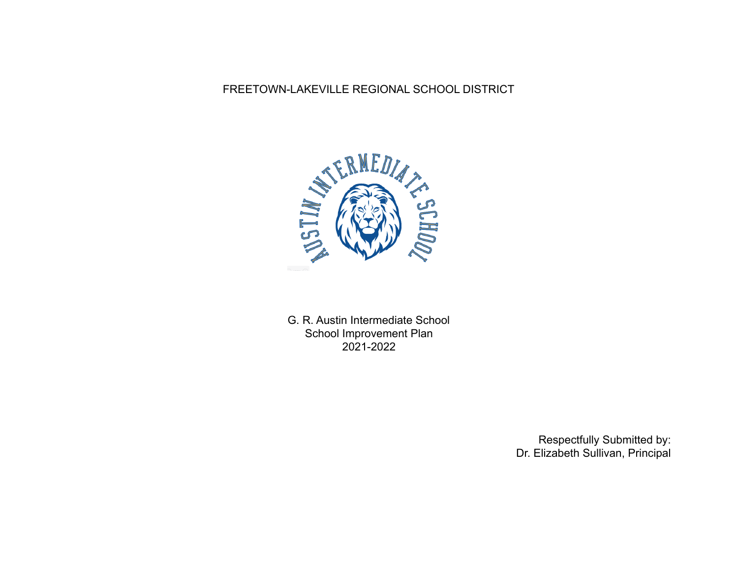## FREETOWN-LAKEVILLE REGIONAL SCHOOL DISTRICT



G. R. Austin Intermediate School School Improvement Plan 2021-2022

> Respectfully Submitted by: Dr. Elizabeth Sullivan, Principal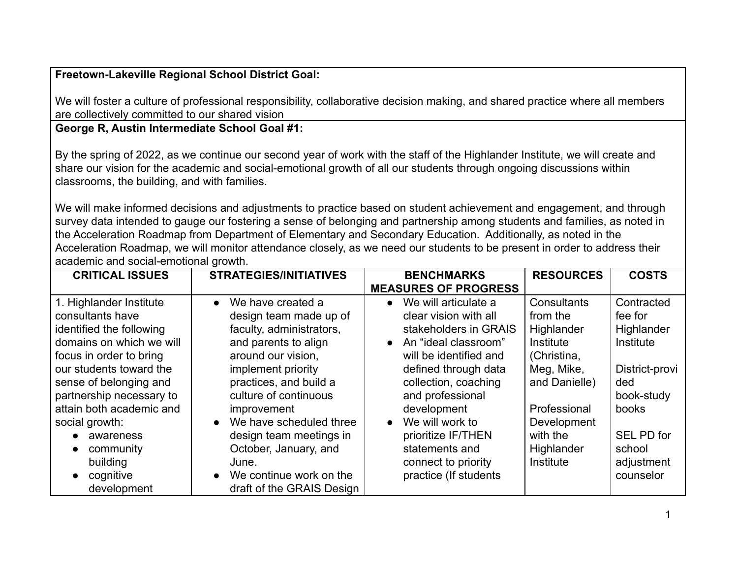## **Freetown-Lakeville Regional School District Goal:**

We will foster a culture of professional responsibility, collaborative decision making, and shared practice where all members are collectively committed to our shared vision

**George R, Austin Intermediate School Goal #1:**

By the spring of 2022, as we continue our second year of work with the staff of the Highlander Institute, we will create and share our vision for the academic and social-emotional growth of all our students through ongoing discussions within classrooms, the building, and with families.

We will make informed decisions and adjustments to practice based on student achievement and engagement, and through survey data intended to gauge our fostering a sense of belonging and partnership among students and families, as noted in the Acceleration Roadmap from Department of Elementary and Secondary Education. Additionally, as noted in the Acceleration Roadmap, we will monitor attendance closely, as we need our students to be present in order to address their academic and social-emotional growth.

| <b>CRITICAL ISSUES</b>                                                                                                                                                                                                                                                                                                                     | <b>STRATEGIES/INITIATIVES</b>                                                                                                                                                                                                                                                                                                                                                  | <b>BENCHMARKS</b>                                                                                                                                                                                                                                                                                                                                             | <b>RESOURCES</b>                                                                                                                                                       | <b>COSTS</b>                                                                                                                                        |
|--------------------------------------------------------------------------------------------------------------------------------------------------------------------------------------------------------------------------------------------------------------------------------------------------------------------------------------------|--------------------------------------------------------------------------------------------------------------------------------------------------------------------------------------------------------------------------------------------------------------------------------------------------------------------------------------------------------------------------------|---------------------------------------------------------------------------------------------------------------------------------------------------------------------------------------------------------------------------------------------------------------------------------------------------------------------------------------------------------------|------------------------------------------------------------------------------------------------------------------------------------------------------------------------|-----------------------------------------------------------------------------------------------------------------------------------------------------|
|                                                                                                                                                                                                                                                                                                                                            |                                                                                                                                                                                                                                                                                                                                                                                | <b>MEASURES OF PROGRESS</b>                                                                                                                                                                                                                                                                                                                                   |                                                                                                                                                                        |                                                                                                                                                     |
| 1. Highlander Institute<br>consultants have<br>identified the following<br>domains on which we will<br>focus in order to bring<br>our students toward the<br>sense of belonging and<br>partnership necessary to<br>attain both academic and<br>social growth:<br>awareness<br>community<br>$\bullet$<br>building<br>cognitive<br>$\bullet$ | We have created a<br>$\bullet$<br>design team made up of<br>faculty, administrators,<br>and parents to align<br>around our vision,<br>implement priority<br>practices, and build a<br>culture of continuous<br><i>improvement</i><br>We have scheduled three<br>$\bullet$<br>design team meetings in<br>October, January, and<br>June.<br>We continue work on the<br>$\bullet$ | We will articulate a<br>$\bullet$<br>clear vision with all<br>stakeholders in GRAIS<br>An "ideal classroom"<br>$\bullet$<br>will be identified and<br>defined through data<br>collection, coaching<br>and professional<br>development<br>We will work to<br>$\bullet$<br>prioritize IF/THEN<br>statements and<br>connect to priority<br>practice (If students | Consultants<br>from the<br>Highlander<br>Institute<br>(Christina,<br>Meg, Mike,<br>and Danielle)<br>Professional<br>Development<br>with the<br>Highlander<br>Institute | Contracted<br>fee for<br>Highlander<br>Institute<br>District-provi<br>ded<br>book-study<br>books<br>SEL PD for<br>school<br>adjustment<br>counselor |
| development                                                                                                                                                                                                                                                                                                                                | draft of the GRAIS Design                                                                                                                                                                                                                                                                                                                                                      |                                                                                                                                                                                                                                                                                                                                                               |                                                                                                                                                                        |                                                                                                                                                     |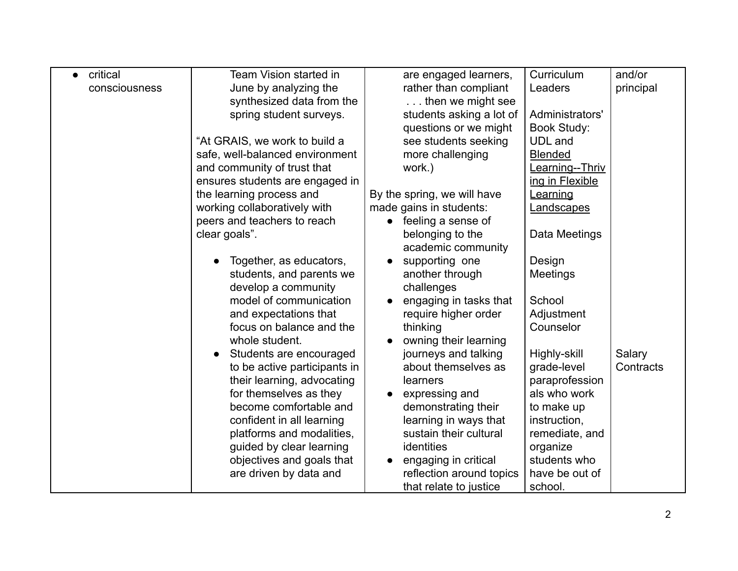| critical      | Team Vision started in          |                             | Curriculum             | and/or    |
|---------------|---------------------------------|-----------------------------|------------------------|-----------|
| $\bullet$     |                                 | are engaged learners,       |                        |           |
| consciousness | June by analyzing the           | rather than compliant       | Leaders                | principal |
|               | synthesized data from the       | then we might see           |                        |           |
|               | spring student surveys.         | students asking a lot of    | Administrators'        |           |
|               |                                 | questions or we might       | <b>Book Study:</b>     |           |
|               | "At GRAIS, we work to build a   | see students seeking        | <b>UDL</b> and         |           |
|               | safe, well-balanced environment | more challenging            | <b>Blended</b>         |           |
|               | and community of trust that     | work.)                      | <b>Learning--Thriv</b> |           |
|               | ensures students are engaged in |                             | ing in Flexible        |           |
|               | the learning process and        | By the spring, we will have | Learning               |           |
|               | working collaboratively with    | made gains in students:     | Landscapes             |           |
|               | peers and teachers to reach     | feeling a sense of          |                        |           |
|               | clear goals".                   | belonging to the            | Data Meetings          |           |
|               |                                 | academic community          |                        |           |
|               | Together, as educators,         | supporting one              | Design                 |           |
|               | students, and parents we        | another through             | <b>Meetings</b>        |           |
|               | develop a community             | challenges                  |                        |           |
|               | model of communication          | engaging in tasks that      | School                 |           |
|               | and expectations that           | require higher order        | Adjustment             |           |
|               | focus on balance and the        | thinking                    | Counselor              |           |
|               | whole student.                  | owning their learning       |                        |           |
|               | Students are encouraged         | journeys and talking        | Highly-skill           | Salary    |
|               | to be active participants in    | about themselves as         | grade-level            | Contracts |
|               |                                 | learners                    |                        |           |
|               | their learning, advocating      |                             | paraprofession         |           |
|               | for themselves as they          | expressing and              | als who work           |           |
|               | become comfortable and          | demonstrating their         | to make up             |           |
|               | confident in all learning       | learning in ways that       | instruction,           |           |
|               | platforms and modalities,       | sustain their cultural      | remediate, and         |           |
|               | guided by clear learning        | identities                  | organize               |           |
|               | objectives and goals that       | engaging in critical        | students who           |           |
|               | are driven by data and          | reflection around topics    | have be out of         |           |
|               |                                 | that relate to justice      | school.                |           |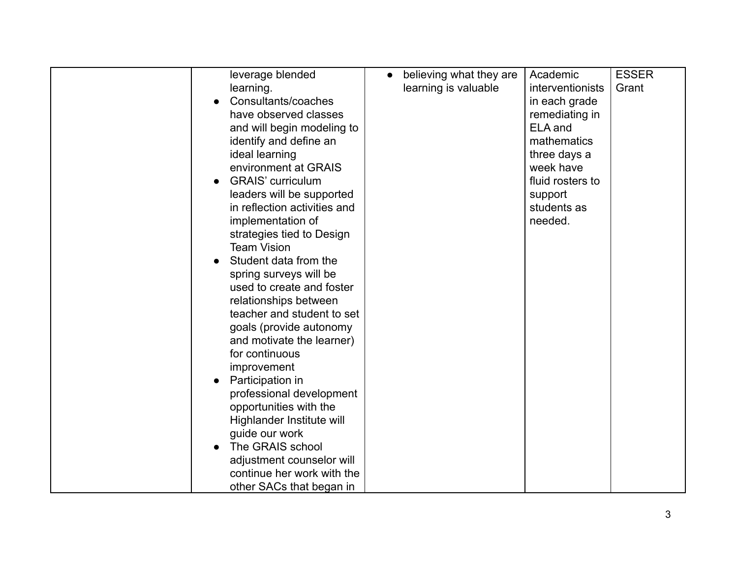| leverage blended                      | believing what they are | Academic         | <b>ESSER</b> |
|---------------------------------------|-------------------------|------------------|--------------|
| learning.                             | learning is valuable    | interventionists | Grant        |
| Consultants/coaches                   |                         | in each grade    |              |
| have observed classes                 |                         | remediating in   |              |
| and will begin modeling to            |                         | ELA and          |              |
| identify and define an                |                         | mathematics      |              |
| ideal learning                        |                         | three days a     |              |
| environment at GRAIS                  |                         | week have        |              |
| <b>GRAIS' curriculum</b><br>$\bullet$ |                         | fluid rosters to |              |
| leaders will be supported             |                         | support          |              |
| in reflection activities and          |                         | students as      |              |
| implementation of                     |                         | needed.          |              |
| strategies tied to Design             |                         |                  |              |
| <b>Team Vision</b>                    |                         |                  |              |
| Student data from the                 |                         |                  |              |
| spring surveys will be                |                         |                  |              |
| used to create and foster             |                         |                  |              |
| relationships between                 |                         |                  |              |
| teacher and student to set            |                         |                  |              |
| goals (provide autonomy               |                         |                  |              |
| and motivate the learner)             |                         |                  |              |
| for continuous                        |                         |                  |              |
| improvement                           |                         |                  |              |
| Participation in                      |                         |                  |              |
| professional development              |                         |                  |              |
| opportunities with the                |                         |                  |              |
| Highlander Institute will             |                         |                  |              |
| guide our work                        |                         |                  |              |
| The GRAIS school                      |                         |                  |              |
| adjustment counselor will             |                         |                  |              |
| continue her work with the            |                         |                  |              |
| other SACs that began in              |                         |                  |              |
|                                       |                         |                  |              |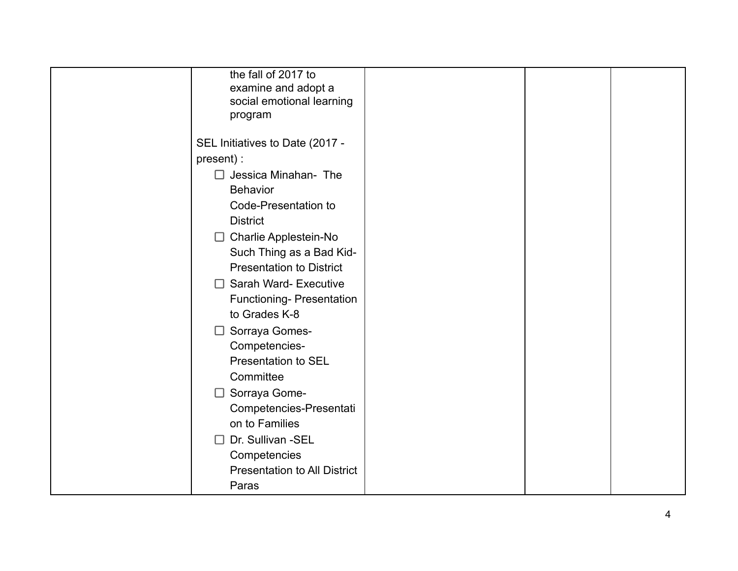| the fall of 2017 to                 |  |  |
|-------------------------------------|--|--|
| examine and adopt a                 |  |  |
| social emotional learning           |  |  |
| program                             |  |  |
|                                     |  |  |
| SEL Initiatives to Date (2017 -     |  |  |
| present) :                          |  |  |
| $\Box$ Jessica Minahan- The         |  |  |
| <b>Behavior</b>                     |  |  |
| Code-Presentation to                |  |  |
| <b>District</b>                     |  |  |
| $\Box$ Charlie Applestein-No        |  |  |
| Such Thing as a Bad Kid-            |  |  |
| <b>Presentation to District</b>     |  |  |
| $\Box$ Sarah Ward- Executive        |  |  |
| Functioning- Presentation           |  |  |
| to Grades K-8                       |  |  |
| □ Sorraya Gomes-                    |  |  |
| Competencies-                       |  |  |
| <b>Presentation to SEL</b>          |  |  |
| Committee                           |  |  |
| □ Sorraya Gome-                     |  |  |
| Competencies-Presentati             |  |  |
| on to Families                      |  |  |
| Dr. Sullivan -SEL<br>⊔              |  |  |
| Competencies                        |  |  |
| <b>Presentation to All District</b> |  |  |
| Paras                               |  |  |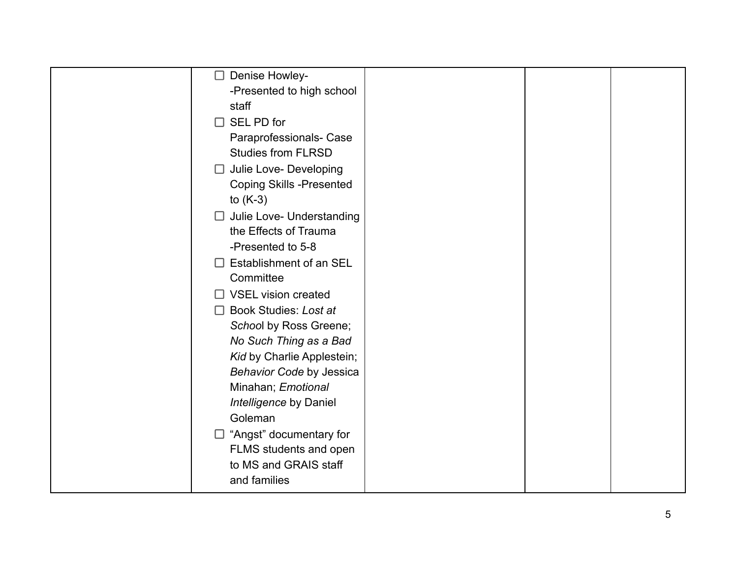| $\Box$ Denise Howley-           |  |  |
|---------------------------------|--|--|
|                                 |  |  |
| -Presented to high school       |  |  |
| staff                           |  |  |
| SEL PD for<br>$\Box$            |  |  |
| Paraprofessionals- Case         |  |  |
| <b>Studies from FLRSD</b>       |  |  |
| Julie Love- Developing<br>⊔     |  |  |
| <b>Coping Skills -Presented</b> |  |  |
| to $(K-3)$                      |  |  |
| Julie Love- Understanding<br>□  |  |  |
| the Effects of Trauma           |  |  |
| -Presented to 5-8               |  |  |
| $\Box$ Establishment of an SEL  |  |  |
| Committee                       |  |  |
| <b>VSEL vision created</b>      |  |  |
| Book Studies: Lost at           |  |  |
| School by Ross Greene;          |  |  |
| No Such Thing as a Bad          |  |  |
| Kid by Charlie Applestein;      |  |  |
| Behavior Code by Jessica        |  |  |
| Minahan; Emotional              |  |  |
| Intelligence by Daniel          |  |  |
| Goleman                         |  |  |
| $\Box$ "Angst" documentary for  |  |  |
| FLMS students and open          |  |  |
| to MS and GRAIS staff           |  |  |
| and families                    |  |  |
|                                 |  |  |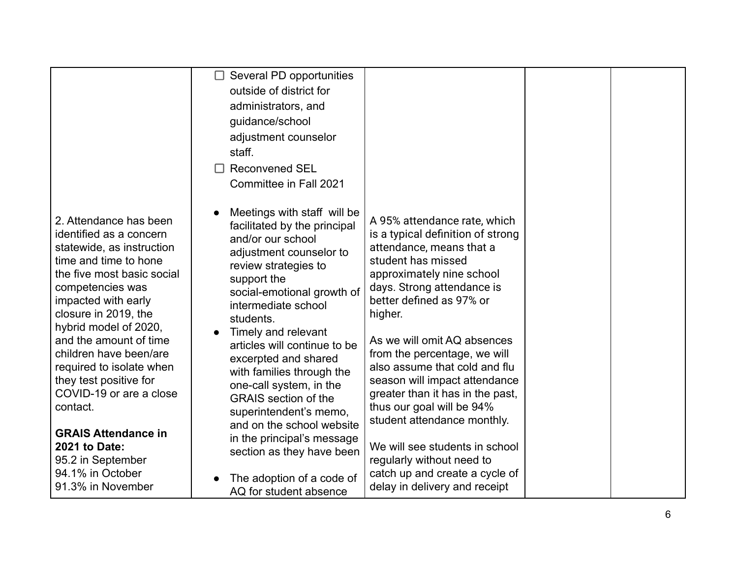|                                                                                                                                                                                                                                                                                                                                                                                                                                                                                                        | $\Box$ Several PD opportunities<br>outside of district for<br>administrators, and<br>guidance/school<br>adjustment counselor<br>staff.<br><b>Reconvened SEL</b><br>Committee in Fall 2021                                                                                                                                                                                                                                                                                                                                                                           |                                                                                                                                                                                                                                                                                                                                                                                                                                                                                                                                                                                          |  |
|--------------------------------------------------------------------------------------------------------------------------------------------------------------------------------------------------------------------------------------------------------------------------------------------------------------------------------------------------------------------------------------------------------------------------------------------------------------------------------------------------------|---------------------------------------------------------------------------------------------------------------------------------------------------------------------------------------------------------------------------------------------------------------------------------------------------------------------------------------------------------------------------------------------------------------------------------------------------------------------------------------------------------------------------------------------------------------------|------------------------------------------------------------------------------------------------------------------------------------------------------------------------------------------------------------------------------------------------------------------------------------------------------------------------------------------------------------------------------------------------------------------------------------------------------------------------------------------------------------------------------------------------------------------------------------------|--|
| 2. Attendance has been<br>identified as a concern<br>statewide, as instruction<br>time and time to hone<br>the five most basic social<br>competencies was<br>impacted with early<br>closure in 2019, the<br>hybrid model of 2020,<br>and the amount of time<br>children have been/are<br>required to isolate when<br>they test positive for<br>COVID-19 or are a close<br>contact.<br><b>GRAIS Attendance in</b><br><b>2021 to Date:</b><br>95.2 in September<br>94.1% in October<br>91.3% in November | Meetings with staff will be<br>facilitated by the principal<br>and/or our school<br>adjustment counselor to<br>review strategies to<br>support the<br>social-emotional growth of<br>intermediate school<br>students.<br>Timely and relevant<br>articles will continue to be<br>excerpted and shared<br>with families through the<br>one-call system, in the<br><b>GRAIS</b> section of the<br>superintendent's memo,<br>and on the school website<br>in the principal's message<br>section as they have been<br>The adoption of a code of<br>AQ for student absence | A 95% attendance rate, which<br>is a typical definition of strong<br>attendance, means that a<br>student has missed<br>approximately nine school<br>days. Strong attendance is<br>better defined as 97% or<br>higher.<br>As we will omit AQ absences<br>from the percentage, we will<br>also assume that cold and flu<br>season will impact attendance<br>greater than it has in the past,<br>thus our goal will be 94%<br>student attendance monthly.<br>We will see students in school<br>regularly without need to<br>catch up and create a cycle of<br>delay in delivery and receipt |  |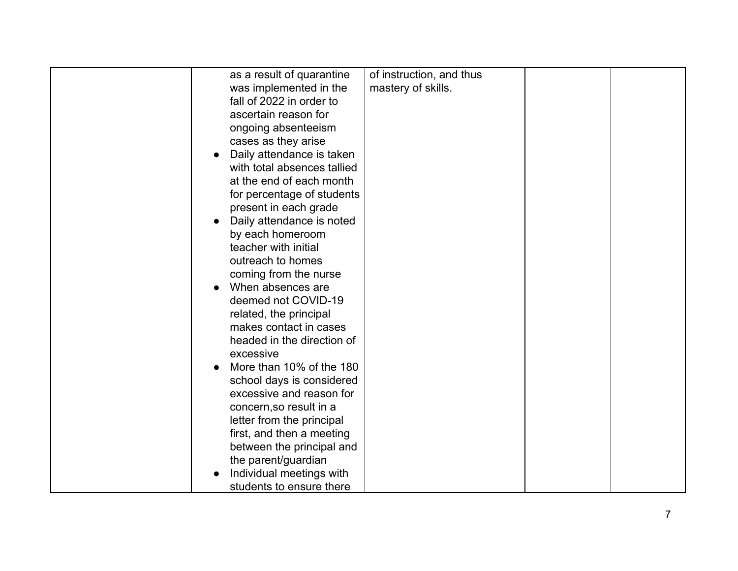|                                        | of instruction, and thus |  |
|----------------------------------------|--------------------------|--|
| as a result of quarantine              |                          |  |
| was implemented in the                 | mastery of skills.       |  |
| fall of 2022 in order to               |                          |  |
| ascertain reason for                   |                          |  |
| ongoing absenteeism                    |                          |  |
| cases as they arise                    |                          |  |
| Daily attendance is taken<br>$\bullet$ |                          |  |
| with total absences tallied            |                          |  |
| at the end of each month               |                          |  |
| for percentage of students             |                          |  |
| present in each grade                  |                          |  |
| Daily attendance is noted              |                          |  |
| by each homeroom                       |                          |  |
| teacher with initial                   |                          |  |
| outreach to homes                      |                          |  |
| coming from the nurse                  |                          |  |
| When absences are                      |                          |  |
| deemed not COVID-19                    |                          |  |
|                                        |                          |  |
| related, the principal                 |                          |  |
| makes contact in cases                 |                          |  |
| headed in the direction of             |                          |  |
| excessive                              |                          |  |
| More than 10% of the 180<br>$\bullet$  |                          |  |
| school days is considered              |                          |  |
| excessive and reason for               |                          |  |
| concern, so result in a                |                          |  |
| letter from the principal              |                          |  |
| first, and then a meeting              |                          |  |
| between the principal and              |                          |  |
| the parent/guardian                    |                          |  |
| Individual meetings with               |                          |  |
| students to ensure there               |                          |  |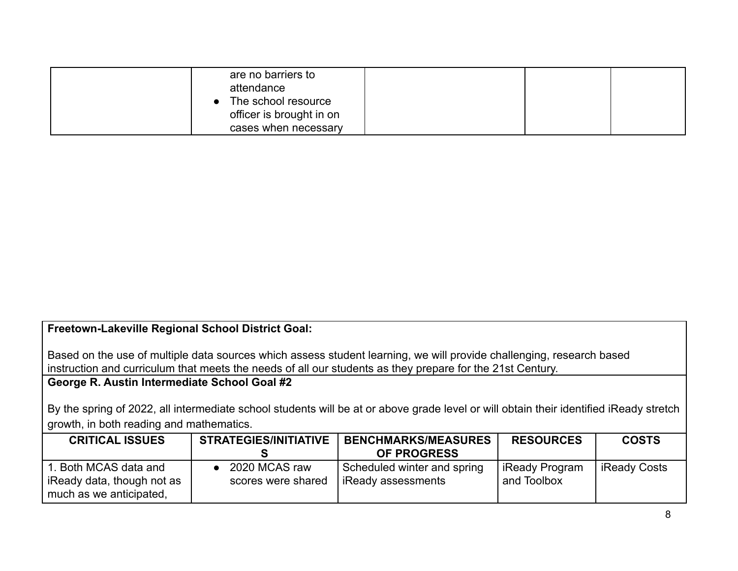| are no barriers to<br>attendance<br>The school resource |
|---------------------------------------------------------|
| officer is brought in on                                |
| cases when necessary                                    |

# **Freetown-Lakeville Regional School District Goal:**

Based on the use of multiple data sources which assess student learning, we will provide challenging, research based instruction and curriculum that meets the needs of all our students as they prepare for the 21st Century.

#### **George R. Austin Intermediate School Goal #2**

By the spring of 2022, all intermediate school students will be at or above grade level or will obtain their identified iReady stretch growth, in both reading and mathematics.

| <b>CRITICAL ISSUES</b>                                                         | <b>STRATEGIES/INITIATIVE</b>        | <b>BENCHMARKS/MEASURES</b><br><b>OF PROGRESS</b>    | <b>RESOURCES</b>                | <b>COSTS</b> |
|--------------------------------------------------------------------------------|-------------------------------------|-----------------------------------------------------|---------------------------------|--------------|
| 1. Both MCAS data and<br>iReady data, though not as<br>much as we anticipated, | 2020 MCAS raw<br>scores were shared | Scheduled winter and spring<br>l iReady assessments | l iReady Program<br>and Toolbox | iReady Costs |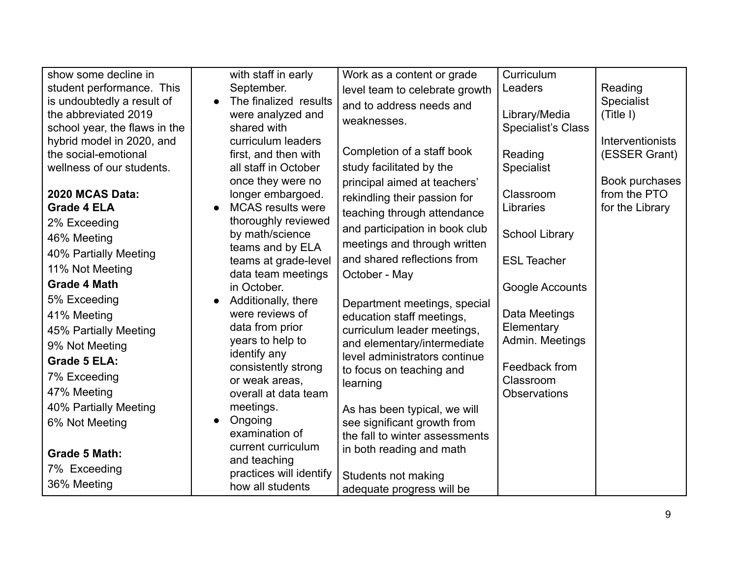| show some decline in                  | with staff in early |                                               | Work as a content or grade     | Curriculum                 |                   |
|---------------------------------------|---------------------|-----------------------------------------------|--------------------------------|----------------------------|-------------------|
| student performance. This             | September.          |                                               | level team to celebrate growth | Leaders                    | Reading           |
| is undoubtedly a result of            |                     | The finalized results                         | and to address needs and       |                            | <b>Specialist</b> |
| the abbreviated 2019                  |                     | were analyzed and                             | weaknesses.                    | Library/Media              | (Title 1)         |
| school year, the flaws in the         | shared with         |                                               |                                | <b>Specialist's Class</b>  |                   |
| hybrid model in 2020, and             |                     | curriculum leaders                            |                                |                            | Interventionists  |
| the social-emotional                  |                     | first, and then with                          | Completion of a staff book     | Reading                    | (ESSER Grant)     |
| wellness of our students.             |                     | all staff in October                          | study facilitated by the       | <b>Specialist</b>          |                   |
|                                       |                     | once they were no                             | principal aimed at teachers'   |                            | Book purchases    |
| 2020 MCAS Data:<br><b>Grade 4 ELA</b> |                     | longer embargoed.<br><b>MCAS</b> results were | rekindling their passion for   | Classroom<br>Libraries     | from the PTO      |
|                                       |                     | thoroughly reviewed                           | teaching through attendance    |                            | for the Library   |
| 2% Exceeding                          | by math/science     |                                               | and participation in book club | <b>School Library</b>      |                   |
| 46% Meeting                           |                     | teams and by ELA                              | meetings and through written   |                            |                   |
| 40% Partially Meeting                 |                     | teams at grade-level                          | and shared reflections from    | <b>ESL Teacher</b>         |                   |
| 11% Not Meeting                       |                     | data team meetings                            | October - May                  |                            |                   |
| <b>Grade 4 Math</b>                   | in October.         |                                               |                                | Google Accounts            |                   |
| 5% Exceeding                          |                     | Additionally, there                           | Department meetings, special   |                            |                   |
| 41% Meeting                           | were reviews of     |                                               | education staff meetings,      | Data Meetings              |                   |
| 45% Partially Meeting                 | data from prior     |                                               | curriculum leader meetings,    | Elementary                 |                   |
| 9% Not Meeting                        | years to help to    |                                               | and elementary/intermediate    | Admin. Meetings            |                   |
| Grade 5 ELA:                          | identify any        |                                               | level administrators continue  |                            |                   |
| 7% Exceeding                          | or weak areas,      | consistently strong                           | to focus on teaching and       | Feedback from<br>Classroom |                   |
| 47% Meeting                           |                     | overall at data team                          | learning                       | <b>Observations</b>        |                   |
| 40% Partially Meeting                 | meetings.           |                                               | As has been typical, we will   |                            |                   |
| 6% Not Meeting                        | Ongoing             |                                               | see significant growth from    |                            |                   |
|                                       | examination of      |                                               | the fall to winter assessments |                            |                   |
| <b>Grade 5 Math:</b>                  |                     | current curriculum                            | in both reading and math       |                            |                   |
|                                       | and teaching        |                                               |                                |                            |                   |
| 7% Exceeding                          |                     | practices will identify                       | Students not making            |                            |                   |
| 36% Meeting                           | how all students    |                                               | adequate progress will be      |                            |                   |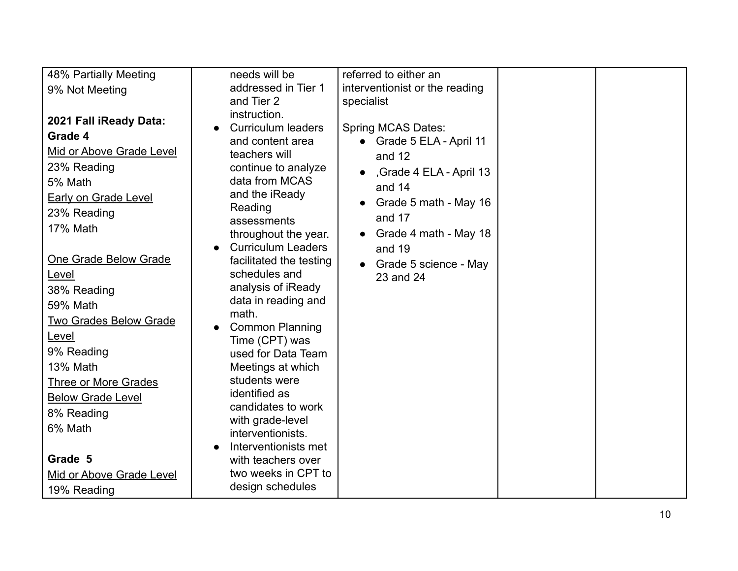| 48% Partially Meeting                                                                                                                                                                                                                                                                                                                                                                           | needs will be                                                                                                                                                                                                                                                                                                                                                                                                                                                                                                                                                                                                          | referred to either an                                                                                                                                                                                                                                               |  |
|-------------------------------------------------------------------------------------------------------------------------------------------------------------------------------------------------------------------------------------------------------------------------------------------------------------------------------------------------------------------------------------------------|------------------------------------------------------------------------------------------------------------------------------------------------------------------------------------------------------------------------------------------------------------------------------------------------------------------------------------------------------------------------------------------------------------------------------------------------------------------------------------------------------------------------------------------------------------------------------------------------------------------------|---------------------------------------------------------------------------------------------------------------------------------------------------------------------------------------------------------------------------------------------------------------------|--|
|                                                                                                                                                                                                                                                                                                                                                                                                 |                                                                                                                                                                                                                                                                                                                                                                                                                                                                                                                                                                                                                        |                                                                                                                                                                                                                                                                     |  |
|                                                                                                                                                                                                                                                                                                                                                                                                 |                                                                                                                                                                                                                                                                                                                                                                                                                                                                                                                                                                                                                        |                                                                                                                                                                                                                                                                     |  |
| 9% Not Meeting<br>2021 Fall iReady Data:<br>Grade 4<br>Mid or Above Grade Level<br>23% Reading<br>5% Math<br><b>Early on Grade Level</b><br>23% Reading<br>17% Math<br>One Grade Below Grade<br>Level<br>38% Reading<br>59% Math<br><b>Two Grades Below Grade</b><br>Level<br>9% Reading<br><b>13% Math</b><br><b>Three or More Grades</b><br><b>Below Grade Level</b><br>8% Reading<br>6% Math | addressed in Tier 1<br>and Tier 2<br>instruction.<br><b>Curriculum leaders</b><br>and content area<br>teachers will<br>continue to analyze<br>data from MCAS<br>and the iReady<br>Reading<br>assessments<br>throughout the year.<br><b>Curriculum Leaders</b><br>$\bullet$<br>facilitated the testing<br>schedules and<br>analysis of iReady<br>data in reading and<br>math.<br><b>Common Planning</b><br>$\bullet$<br>Time (CPT) was<br>used for Data Team<br>Meetings at which<br>students were<br>identified as<br>candidates to work<br>with grade-level<br>interventionists.<br>Interventionists met<br>$\bullet$ | interventionist or the reading<br>specialist<br><b>Spring MCAS Dates:</b><br>• Grade 5 ELA - April 11<br>and 12<br>• Grade 4 ELA - April 13<br>and $14$<br>Grade 5 math - May 16<br>and 17<br>Grade 4 math - May 18<br>and 19<br>Grade 5 science - May<br>23 and 24 |  |
| Grade 5<br>Mid or Above Grade Level                                                                                                                                                                                                                                                                                                                                                             | with teachers over<br>two weeks in CPT to<br>design schedules                                                                                                                                                                                                                                                                                                                                                                                                                                                                                                                                                          |                                                                                                                                                                                                                                                                     |  |
| 19% Reading                                                                                                                                                                                                                                                                                                                                                                                     |                                                                                                                                                                                                                                                                                                                                                                                                                                                                                                                                                                                                                        |                                                                                                                                                                                                                                                                     |  |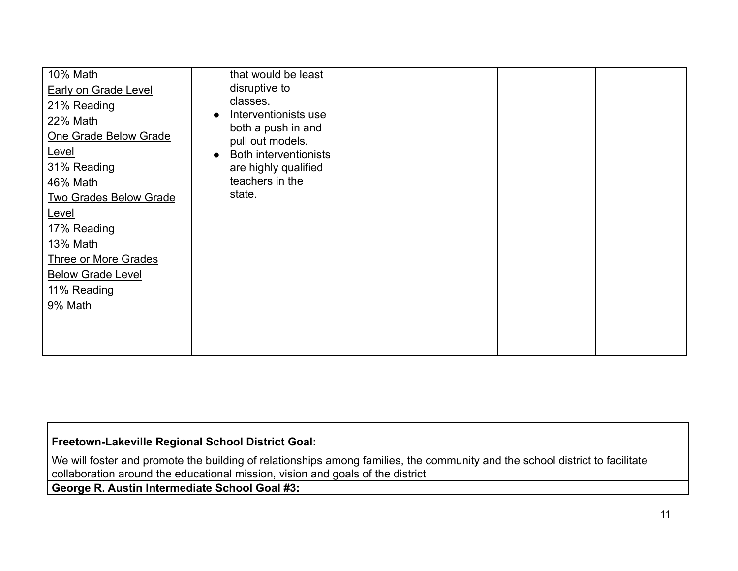| 10% Math<br><b>Early on Grade Level</b><br>21% Reading<br>22% Math<br>One Grade Below Grade<br><u>Level</u><br>31% Reading<br>46% Math<br><b>Two Grades Below Grade</b><br><b>Level</b><br>17% Reading<br>13% Math<br><b>Three or More Grades</b><br><b>Below Grade Level</b><br>11% Reading<br>9% Math | that would be least<br>disruptive to<br>classes.<br>Interventionists use<br>both a push in and<br>pull out models.<br>Both interventionists<br>are highly qualified<br>teachers in the<br>state. |  |  |
|---------------------------------------------------------------------------------------------------------------------------------------------------------------------------------------------------------------------------------------------------------------------------------------------------------|--------------------------------------------------------------------------------------------------------------------------------------------------------------------------------------------------|--|--|
|                                                                                                                                                                                                                                                                                                         |                                                                                                                                                                                                  |  |  |

# **Freetown-Lakeville Regional School District Goal:**

We will foster and promote the building of relationships among families, the community and the school district to facilitate collaboration around the educational mission, vision and goals of the district

**George R. Austin Intermediate School Goal #3:**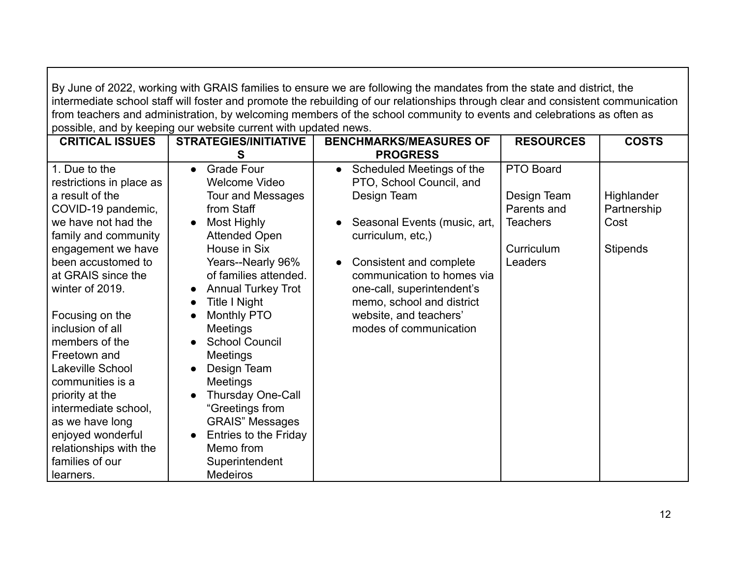By June of 2022, working with GRAIS families to ensure we are following the mandates from the state and district, the intermediate school staff will foster and promote the rebuilding of our relationships through clear and consistent communication from teachers and administration, by welcoming members of the school community to events and celebrations as often as possible, and by keeping our website current with updated news.

| <b>CRITICAL ISSUES</b>   | <b>STRATEGIES/INITIATIVE</b>           | <b>BENCHMARKS/MEASURES OF</b>          | <b>RESOURCES</b> | <b>COSTS</b>    |
|--------------------------|----------------------------------------|----------------------------------------|------------------|-----------------|
|                          | S                                      | <b>PROGRESS</b>                        |                  |                 |
| 1. Due to the            | <b>Grade Four</b><br>$\bullet$         | Scheduled Meetings of the<br>$\bullet$ | PTO Board        |                 |
| restrictions in place as | <b>Welcome Video</b>                   | PTO, School Council, and               |                  |                 |
| a result of the          | Tour and Messages                      | Design Team                            | Design Team      | Highlander      |
| COVID-19 pandemic,       | from Staff                             |                                        | Parents and      | Partnership     |
| we have not had the      | Most Highly<br>$\bullet$               | Seasonal Events (music, art,           | <b>Teachers</b>  | Cost            |
| family and community     | <b>Attended Open</b>                   | curriculum, etc,)                      |                  |                 |
| engagement we have       | House in Six                           |                                        | Curriculum       | <b>Stipends</b> |
| been accustomed to       | Years--Nearly 96%                      | Consistent and complete                | Leaders          |                 |
| at GRAIS since the       | of families attended.                  | communication to homes via             |                  |                 |
| winter of 2019.          | <b>Annual Turkey Trot</b><br>$\bullet$ | one-call, superintendent's             |                  |                 |
|                          | Title I Night                          | memo, school and district              |                  |                 |
| Focusing on the          | Monthly PTO                            | website, and teachers'                 |                  |                 |
| inclusion of all         | <b>Meetings</b>                        | modes of communication                 |                  |                 |
| members of the           | <b>School Council</b><br>$\bullet$     |                                        |                  |                 |
| Freetown and             | <b>Meetings</b>                        |                                        |                  |                 |
| Lakeville School         | Design Team                            |                                        |                  |                 |
| communities is a         | <b>Meetings</b>                        |                                        |                  |                 |
| priority at the          | <b>Thursday One-Call</b>               |                                        |                  |                 |
| intermediate school,     | "Greetings from                        |                                        |                  |                 |
| as we have long          | <b>GRAIS</b> " Messages                |                                        |                  |                 |
| enjoyed wonderful        | Entries to the Friday<br>$\bullet$     |                                        |                  |                 |
| relationships with the   | Memo from                              |                                        |                  |                 |
| families of our          | Superintendent                         |                                        |                  |                 |
| learners.                | <b>Medeiros</b>                        |                                        |                  |                 |